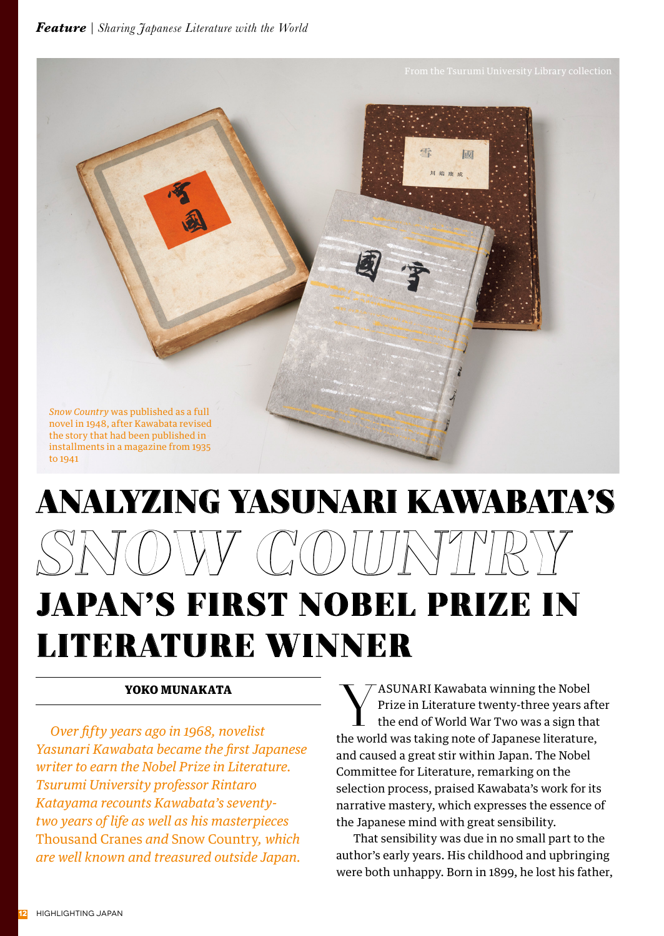

## ANALYZING YASUNARI KAWABATA'S *SNOW COUNTRY* JAPAN'S FIRST NOBEL PRIZE IN LITERATURE WINNER

## YOKO MUNAKATA

*Over fifty years ago in 1968, novelist Yasunari Kawabata became the first Japanese writer to earn the Nobel Prize in Literature. Tsurumi University professor Rintaro Katayama recounts Kawabata's seventytwo years of life as well as his masterpieces*  Thousand Cranes *and* Snow Country*, which are well known and treasured outside Japan.*

**Y** ASUNARI Kawabata winning the Nobel<br>Prize in Literature twenty-three years at<br>the end of World War Two was a sign that Prize in Literature twenty-three years after the end of World War Two was a sign that the world was taking note of Japanese literature, and caused a great stir within Japan. The Nobel Committee for Literature, remarking on the selection process, praised Kawabata's work for its narrative mastery, which expresses the essence of the Japanese mind with great sensibility.

 That sensibility was due in no small part to the author's early years. His childhood and upbringing were both unhappy. Born in 1899, he lost his father,